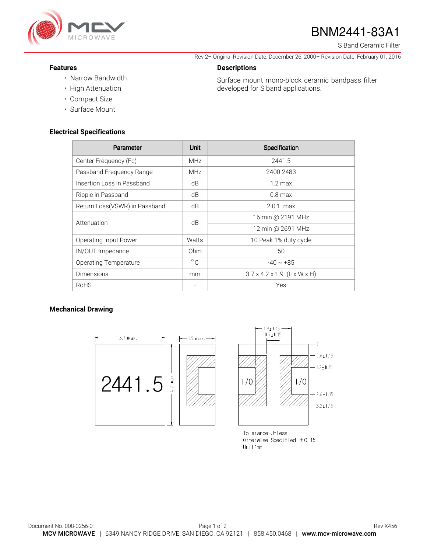

# BNM2441-83A1

S Band Ceramic Filter

Rev 2– Original Revision Date: December 26, 2000– Revision Date: February 01, 2016

Surface mount mono-block ceramic bandpass filter

developed for S band applications.

#### **Features**

- Narrow Bandwidth
- High Attenuation
- Compact Size
- Surface Mount

#### **Electrical Specifications**

| Parameter                     | Unit         | Specification                           |
|-------------------------------|--------------|-----------------------------------------|
| Center Frequency (Fc)         | <b>MHz</b>   | 2441.5                                  |
| Passband Frequency Range      | <b>MHz</b>   | 2400-2483                               |
| Insertion Loss in Passband    | dB           | $1.2 \text{ max}$                       |
| Ripple in Passband            | dB           | $0.8$ max                               |
| Return Loss(VSWR) in Passband | dB           | $2.0:1$ max                             |
| Attenuation                   | dB           | 16 min @ 2191 MHz                       |
|                               |              | 12 min @ 2691 MHz                       |
| Operating Input Power         | Watts        | 10 Peak 1% duty cycle                   |
| IN/OUT Impedance              | Ohm          | 50                                      |
| <b>Operating Temperature</b>  | $^{\circ}$ C | $-40 \sim +85$                          |
| <b>Dimensions</b>             | mm           | $3.7 \times 4.2 \times 1.9$ (L x W x H) |
| <b>RoHS</b>                   |              | Yes                                     |

**Descriptions** 

### **Mechanical Drawing**





Tolerance Unless Otherwise Specified:  $\pm$ 0.15 Unit:mm